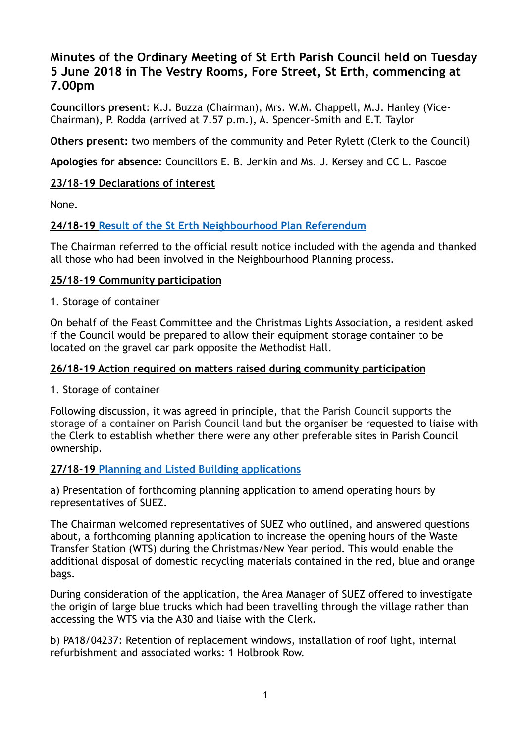# **Minutes of the Ordinary Meeting of St Erth Parish Council held on Tuesday 5 June 2018 in The Vestry Rooms, Fore Street, St Erth, commencing at 7.00pm**

**Councillors present**: K.J. Buzza (Chairman), Mrs. W.M. Chappell, M.J. Hanley (Vice-Chairman), P. Rodda (arrived at 7.57 p.m.), A. Spencer-Smith and E.T. Taylor

**Others present:** two members of the community and Peter Rylett (Clerk to the Council)

**Apologies for absence**: Councillors E. B. Jenkin and Ms. J. Kersey and CC L. Pascoe

# **23/18-19 Declarations of interest**

None.

# **24/18-19 [Result of the St Erth Neighbourhood Plan Referendum](https://sterth-pc.gov.uk/wp-content/uploads/2018/06/Declaration-of-Result-of-Poll-St-Erth.pdf)**

The Chairman referred to the official result notice included with the agenda and thanked all those who had been involved in the Neighbourhood Planning process.

# **25/18-19 Community participation**

1. Storage of container

On behalf of the Feast Committee and the Christmas Lights Association, a resident asked if the Council would be prepared to allow their equipment storage container to be located on the gravel car park opposite the Methodist Hall.

# **26/18-19 Action required on matters raised during community participation**

1. Storage of container

Following discussion, it was agreed in principle, that the Parish Council supports the storage of a container on Parish Council land but the organiser be requested to liaise with the Clerk to establish whether there were any other preferable sites in Parish Council ownership.

# **27/18-19 [Planning and Listed Building applications](https://sterth-pc.gov.uk/planning-applications-table/)**

a) Presentation of forthcoming planning application to amend operating hours by representatives of SUEZ.

The Chairman welcomed representatives of SUEZ who outlined, and answered questions about, a forthcoming planning application to increase the opening hours of the Waste Transfer Station (WTS) during the Christmas/New Year period. This would enable the additional disposal of domestic recycling materials contained in the red, blue and orange bags.

During consideration of the application, the Area Manager of SUEZ offered to investigate the origin of large blue trucks which had been travelling through the village rather than accessing the WTS via the A30 and liaise with the Clerk.

b) PA18/04237: Retention of replacement windows, installation of roof light, internal refurbishment and associated works: 1 Holbrook Row.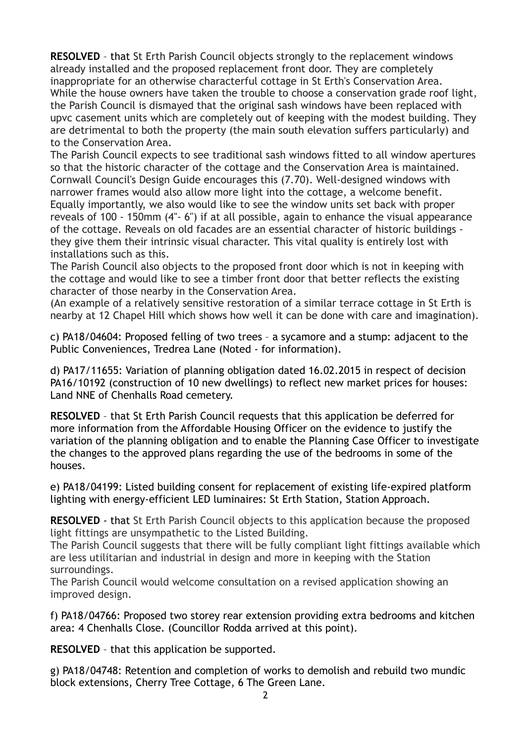**RESOLVED** – that St Erth Parish Council objects strongly to the replacement windows already installed and the proposed replacement front door. They are completely inappropriate for an otherwise characterful cottage in St Erth's Conservation Area. While the house owners have taken the trouble to choose a conservation grade roof light, the Parish Council is dismayed that the original sash windows have been replaced with upvc casement units which are completely out of keeping with the modest building. They are detrimental to both the property (the main south elevation suffers particularly) and to the Conservation Area.

The Parish Council expects to see traditional sash windows fitted to all window apertures so that the historic character of the cottage and the Conservation Area is maintained. Cornwall Council's Design Guide encourages this (7.70). Well-designed windows with narrower frames would also allow more light into the cottage, a welcome benefit. Equally importantly, we also would like to see the window units set back with proper reveals of 100 - 150mm (4"- 6") if at all possible, again to enhance the visual appearance of the cottage. Reveals on old facades are an essential character of historic buildings they give them their intrinsic visual character. This vital quality is entirely lost with installations such as this.

The Parish Council also objects to the proposed front door which is not in keeping with the cottage and would like to see a timber front door that better reflects the existing character of those nearby in the Conservation Area.

(An example of a relatively sensitive restoration of a similar terrace cottage in St Erth is nearby at 12 Chapel Hill which shows how well it can be done with care and imagination).

c) PA18/04604: Proposed felling of two trees – a sycamore and a stump: adjacent to the Public Conveniences, Tredrea Lane (Noted - for information).

d) PA17/11655: Variation of planning obligation dated 16.02.2015 in respect of decision PA16/10192 (construction of 10 new dwellings) to reflect new market prices for houses: Land NNE of Chenhalls Road cemetery.

**RESOLVED** – that St Erth Parish Council requests that this application be deferred for more information from the Affordable Housing Officer on the evidence to justify the variation of the planning obligation and to enable the Planning Case Officer to investigate the changes to the approved plans regarding the use of the bedrooms in some of the houses.

e) PA18/04199: Listed building consent for replacement of existing life-expired platform lighting with energy-efficient LED luminaires: St Erth Station, Station Approach.

**RESOLVED** - that St Erth Parish Council objects to this application because the proposed light fittings are unsympathetic to the Listed Building.

The Parish Council suggests that there will be fully compliant light fittings available which are less utilitarian and industrial in design and more in keeping with the Station surroundings.

The Parish Council would welcome consultation on a revised application showing an improved design.

f) PA18/04766: Proposed two storey rear extension providing extra bedrooms and kitchen area: 4 Chenhalls Close. (Councillor Rodda arrived at this point).

**RESOLVED** – that this application be supported.

g) PA18/04748: Retention and completion of works to demolish and rebuild two mundic block extensions, Cherry Tree Cottage, 6 The Green Lane.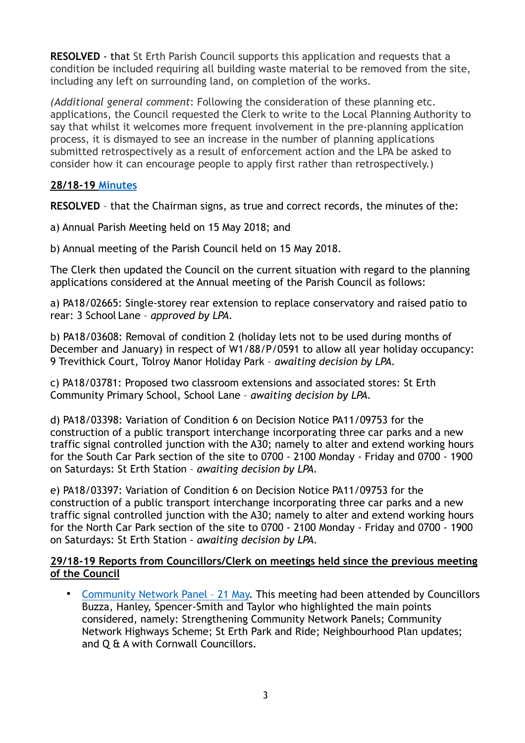**RESOLVED** - that St Erth Parish Council supports this application and requests that a condition be included requiring all building waste material to be removed from the site, including any left on surrounding land, on completion of the works.

*(Additional general comment*: Following the consideration of these planning etc. applications, the Council requested the Clerk to write to the Local Planning Authority to say that whilst it welcomes more frequent involvement in the pre-planning application process, it is dismayed to see an increase in the number of planning applications submitted retrospectively as a result of enforcement action and the LPA be asked to consider how it can encourage people to apply first rather than retrospectively.)

# **28/18-19 [Minutes](https://sterth-pc.gov.uk/type/minutes-2/)**

**RESOLVED** – that the Chairman signs, as true and correct records, the minutes of the:

a) Annual Parish Meeting held on 15 May 2018; and

b) Annual meeting of the Parish Council held on 15 May 2018.

The Clerk then updated the Council on the current situation with regard to the planning applications considered at the Annual meeting of the Parish Council as follows:

a) PA18/02665: Single-storey rear extension to replace conservatory and raised patio to rear: 3 School Lane – *approved by LPA.*

b) PA18/03608: Removal of condition 2 (holiday lets not to be used during months of December and January) in respect of W1/88/P/0591 to allow all year holiday occupancy: 9 Trevithick Court, Tolroy Manor Holiday Park – *awaiting decision by LPA.*

c) PA18/03781: Proposed two classroom extensions and associated stores: St Erth Community Primary School, School Lane – *awaiting decision by LPA.* 

d) PA18/03398: Variation of Condition 6 on Decision Notice PA11/09753 for the construction of a public transport interchange incorporating three car parks and a new traffic signal controlled junction with the A30; namely to alter and extend working hours for the South Car Park section of the site to 0700 - 2100 Monday - Friday and 0700 - 1900 on Saturdays: St Erth Station – *awaiting decision by LPA.* 

e) PA18/03397: Variation of Condition 6 on Decision Notice PA11/09753 for the construction of a public transport interchange incorporating three car parks and a new traffic signal controlled junction with the A30; namely to alter and extend working hours for the North Car Park section of the site to 0700 - 2100 Monday - Friday and 0700 - 1900 on Saturdays: St Erth Station - *awaiting decision by LPA.* 

# **29/18-19 Reports from Councillors/Clerk on meetings held since the previous meeting of the Council**

• [Community Network Panel – 21 May.](http://www.cornwall.gov.uk/media/33294842/hayle-st-ives-cnp-21-may-2018-draft-notes.pdf) This meeting had been attended by Councillors Buzza, Hanley, Spencer-Smith and Taylor who highlighted the main points considered, namely: Strengthening Community Network Panels; Community Network Highways Scheme; St Erth Park and Ride; Neighbourhood Plan updates; and Q & A with Cornwall Councillors.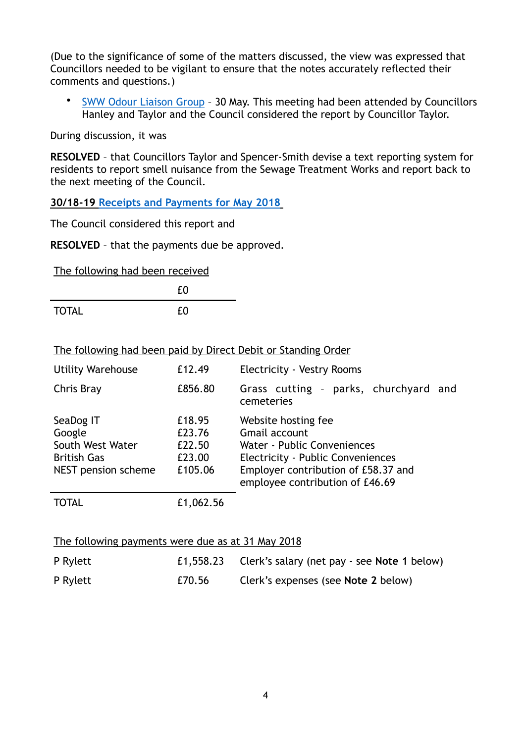(Due to the significance of some of the matters discussed, the view was expressed that Councillors needed to be vigilant to ensure that the notes accurately reflected their comments and questions.)

• [SWW Odour Liaison Group](https://sterth-pc.gov.uk/wp-content/uploads/2018/06/SWW-liasion-30thMay.pdf) – 30 May. This meeting had been attended by Councillors Hanley and Taylor and the Council considered the report by Councillor Taylor.

During discussion, it was

**RESOLVED** – that Councillors Taylor and Spencer-Smith devise a text reporting system for residents to report smell nuisance from the Sewage Treatment Works and report back to the next meeting of the Council.

**30/18-19 [Receipts and Payments for May 2018](https://sterth-pc.gov.uk/type/financial-matters/?doing_wp_cron=1530727446.0748279094696044921875)**

The Council considered this report and

**RESOLVED** – that the payments due be approved.

The following had been received

|              | £0 |  |
|--------------|----|--|
| <b>TOTAL</b> | £0 |  |

The following had been paid by Direct Debit or Standing Order

| <b>Utility Warehouse</b>                                                             | £12.49                                          | <b>Electricity - Vestry Rooms</b>                                                                                                                                                  |
|--------------------------------------------------------------------------------------|-------------------------------------------------|------------------------------------------------------------------------------------------------------------------------------------------------------------------------------------|
| Chris Bray                                                                           | £856.80                                         | Grass cutting - parks, churchyard and<br>cemeteries                                                                                                                                |
| SeaDog IT<br>Google<br>South West Water<br><b>British Gas</b><br>NEST pension scheme | £18.95<br>£23.76<br>£22.50<br>£23.00<br>£105.06 | Website hosting fee<br>Gmail account<br>Water - Public Conveniences<br>Electricity - Public Conveniences<br>Employer contribution of £58.37 and<br>employee contribution of £46.69 |
| TOTAL                                                                                | £1,062.56                                       |                                                                                                                                                                                    |

#### The following payments were due as at 31 May 2018

| P Rylett |        | £1,558.23 Clerk's salary (net pay - see Note 1 below) |
|----------|--------|-------------------------------------------------------|
| P Rylett | £70.56 | Clerk's expenses (see Note 2 below)                   |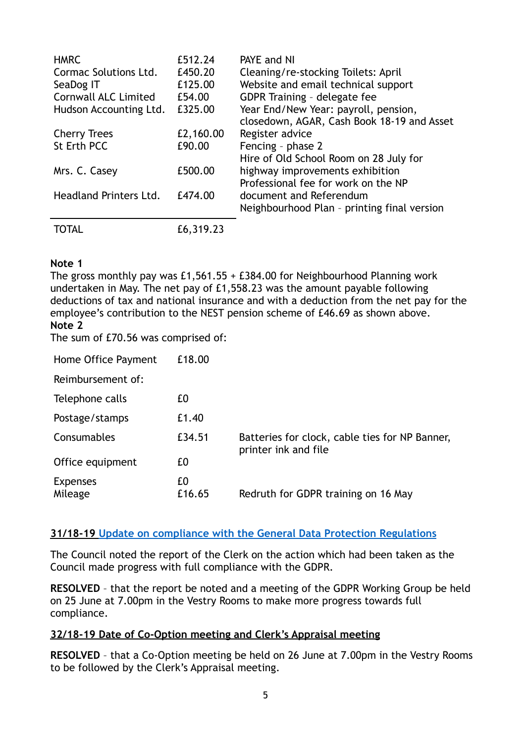| <b>HMRC</b><br>Cormac Solutions Ltd.<br>SeaDog IT<br><b>Cornwall ALC Limited</b><br>Hudson Accounting Ltd. | £512.24<br>£450.20<br>£125.00<br>£54.00<br>£325.00 | PAYE and NI<br>Cleaning/re-stocking Toilets: April<br>Website and email technical support<br>GDPR Training - delegate fee<br>Year End/New Year: payroll, pension,<br>closedown, AGAR, Cash Book 18-19 and Asset |
|------------------------------------------------------------------------------------------------------------|----------------------------------------------------|-----------------------------------------------------------------------------------------------------------------------------------------------------------------------------------------------------------------|
| <b>Cherry Trees</b>                                                                                        | £2,160.00                                          | Register advice                                                                                                                                                                                                 |
| St Erth PCC                                                                                                | £90.00                                             | Fencing - phase 2<br>Hire of Old School Room on 28 July for                                                                                                                                                     |
| Mrs. C. Casey                                                                                              | £500.00                                            | highway improvements exhibition<br>Professional fee for work on the NP                                                                                                                                          |
| <b>Headland Printers Ltd.</b>                                                                              | £474.00                                            | document and Referendum<br>Neighbourhood Plan - printing final version                                                                                                                                          |
| TOTAL                                                                                                      | £6,319.23                                          |                                                                                                                                                                                                                 |

# **Note 1**

The gross monthly pay was £1,561.55 + £384.00 for Neighbourhood Planning work undertaken in May. The net pay of £1,558.23 was the amount payable following deductions of tax and national insurance and with a deduction from the net pay for the employee's contribution to the NEST pension scheme of £46.69 as shown above. **Note 2**

The sum of £70.56 was comprised of:

| Home Office Payment        | £18.00       |                                                                        |
|----------------------------|--------------|------------------------------------------------------------------------|
| Reimbursement of:          |              |                                                                        |
| Telephone calls            | £0           |                                                                        |
| Postage/stamps             | £1.40        |                                                                        |
| Consumables                | £34.51       | Batteries for clock, cable ties for NP Banner,<br>printer ink and file |
| Office equipment           | £0           |                                                                        |
| <b>Expenses</b><br>Mileage | £0<br>£16.65 | Redruth for GDPR training on 16 May                                    |

# **31/18-19 [Update on compliance with the General Data Protection Regulations](https://sterth-pc.gov.uk/wp-content/uploads/2018/06/GDPR-PROGRESS-REPORT-MAY-2018.pdf)**

The Council noted the report of the Clerk on the action which had been taken as the Council made progress with full compliance with the GDPR.

**RESOLVED** – that the report be noted and a meeting of the GDPR Working Group be held on 25 June at 7.00pm in the Vestry Rooms to make more progress towards full compliance.

# **32/18-19 Date of Co-Option meeting and Clerk's Appraisal meeting**

**RESOLVED** – that a Co-Option meeting be held on 26 June at 7.00pm in the Vestry Rooms to be followed by the Clerk's Appraisal meeting.